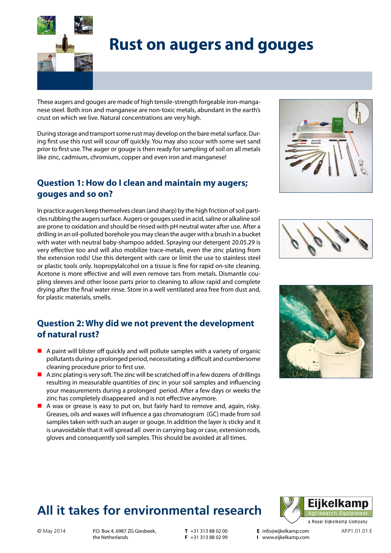

# **Rust on augers and gouges**

These augers and gouges are made of high tensile-strength forgeable iron-manganese steel. Both iron and manganese are non-toxic metals, abundant in the earth's crust on which we live. Natural concentrations are very high.

During storage and transport some rust may develop on the bare metal surface. During first use this rust will scour off quickly. You may also scour with some wet sand prior to first use. The auger or gouge is then ready for sampling of soil on all metals like zinc, cadmium, chromium, copper and even iron and manganese!

### **Question 1: How do I clean and maintain my augers; gouges and so on?**

In practice augers keep themselves clean (and sharp) by the high friction of soil particles rubbing the augers surface. Augers or gouges used in acid, saline or alkaline soil are prone to oxidation and should be rinsed with pH neutral water after use. After a drilling in an oil-polluted borehole you may clean the auger with a brush in a bucket with water with neutral baby-shampoo added. Spraying our detergent 20.05.29 is very effective too and will also mobilize trace-metals, even the zinc plating from the extension rods! Use this detergent with care or limit the use to stainless steel or plastic tools only. Isopropylalcohol on a tissue is fine for rapid on-site cleaning. Acetone is more effective and will even remove tars from metals. Dismantle coupling sleeves and other loose parts prior to cleaning to allow rapid and complete drying after the final water rinse. Store in a well ventilated area free from dust and, for plastic materials, smells.

### **Question 2: Why did we not prevent the development of natural rust?**

- $\blacksquare$  A paint will blister off quickly and will pollute samples with a variety of organic pollutants during a prolonged period, necessitating a difficult and cumbersome cleaning procedure prior to first use.
- $\blacksquare$  A zinc plating is very soft. The zinc will be scratched off in a few dozens of drillings resulting in measurable quantities of zinc in your soil samples and influencing your measurements during a prolonged period. After a few days or weeks the zinc has completely disappeared and is not effective anymore.
- A wax or grease is easy to put on, but fairly hard to remove and, again, risky. Greases, oils and waxes will influence a gas chromatogram (GC) made from soil samples taken with such an auger or gouge. In addition the layer is sticky and it is unavoidable that it will spread all over in carrying bag or case, extension rods, gloves and consequently soil samples. This should be avoided at all times.







## **All it takes for environmental research**



© May 2014 P.O. Box 4, 6987 ZG Giesbeek, T +31 313 88 02 00 E info@eijkelkamp.com AP.P1.01.01.E the Netherlands

**T** +31 313 88 02 00  $F$  +31 313 88 02 99 **E** info@eijkelkamp.com **I** www.eijkelkamp.com